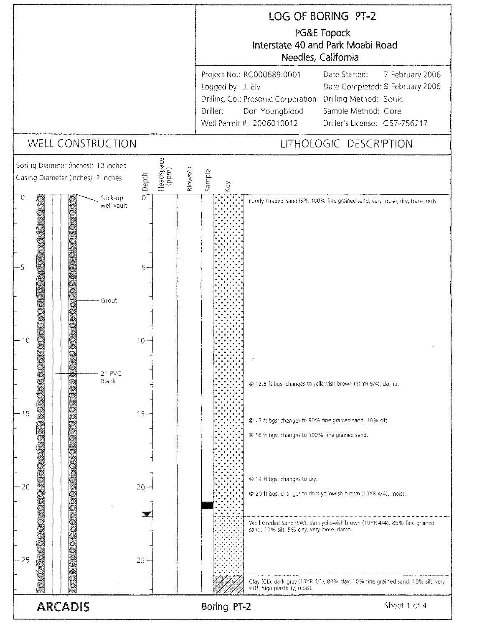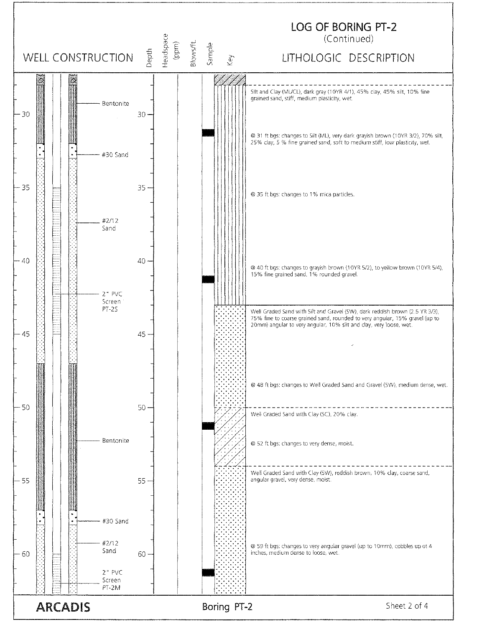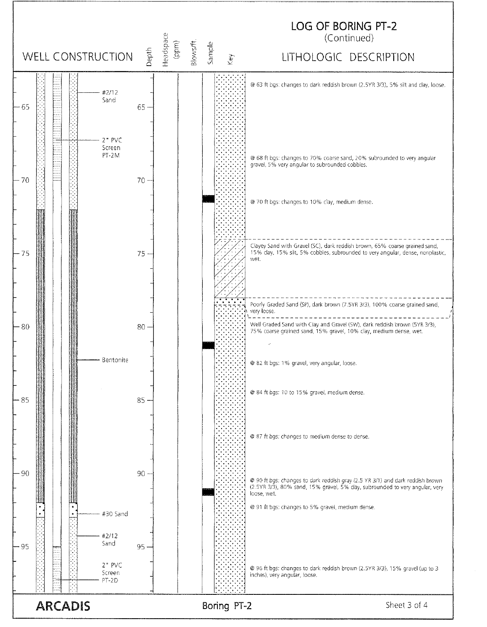